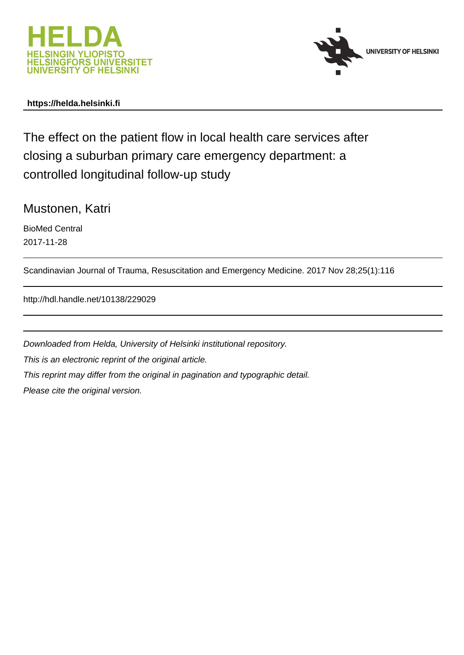



# **https://helda.helsinki.fi**

The effect on the patient flow in local health care services after closing a suburban primary care emergency department: a controlled longitudinal follow-up study

Mustonen, Katri

BioMed Central 2017-11-28

Scandinavian Journal of Trauma, Resuscitation and Emergency Medicine. 2017 Nov 28;25(1):116

http://hdl.handle.net/10138/229029

Downloaded from Helda, University of Helsinki institutional repository. This is an electronic reprint of the original article. This reprint may differ from the original in pagination and typographic detail. Please cite the original version.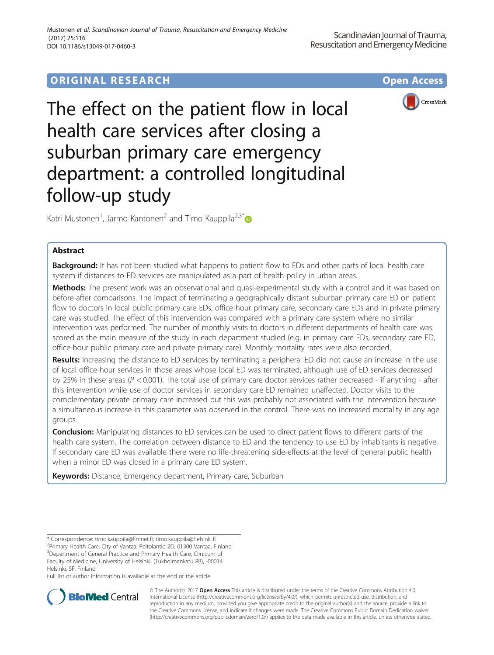# **ORIGINAL RESEARCH CONSUMING ACCESS**



The effect on the patient flow in local health care services after closing a suburban primary care emergency department: a controlled longitudinal follow-up study

Katri Mustonen<sup>1</sup>, Jarmo Kantonen<sup>2</sup> and Timo Kauppila<sup>2,3\*</sup>

# Abstract

**Background:** It has not been studied what happens to patient flow to EDs and other parts of local health care system if distances to ED services are manipulated as a part of health policy in urban areas.

Methods: The present work was an observational and quasi-experimental study with a control and it was based on before-after comparisons. The impact of terminating a geographically distant suburban primary care ED on patient flow to doctors in local public primary care EDs, office-hour primary care, secondary care EDs and in private primary care was studied. The effect of this intervention was compared with a primary care system where no similar intervention was performed. The number of monthly visits to doctors in different departments of health care was scored as the main measure of the study in each department studied (e.g. in primary care EDs, secondary care ED, office-hour public primary care and private primary care). Monthly mortality rates were also recorded.

Results: Increasing the distance to ED services by terminating a peripheral ED did not cause an increase in the use of local office-hour services in those areas whose local ED was terminated, although use of ED services decreased by 25% in these areas ( $P < 0.001$ ). The total use of primary care doctor services rather decreased - if anything - after this intervention while use of doctor services in secondary care ED remained unaffected. Doctor visits to the complementary private primary care increased but this was probably not associated with the intervention because a simultaneous increase in this parameter was observed in the control. There was no increased mortality in any age groups.

**Conclusion:** Manipulating distances to ED services can be used to direct patient flows to different parts of the health care system. The correlation between distance to ED and the tendency to use ED by inhabitants is negative. If secondary care ED was available there were no life-threatening side-effects at the level of general public health when a minor ED was closed in a primary care ED system.

Keywords: Distance, Emergency department, Primary care, Suburban

<sup>2</sup>Primary Health Care, City of Vantaa, Peltolantie 2D, 01300 Vantaa, Finland <sup>3</sup>Department of General Practice and Primary Health Care, Clinicum of

Full list of author information is available at the end of the article



© The Author(s). 2017 **Open Access** This article is distributed under the terms of the Creative Commons Attribution 4.0 International License [\(http://creativecommons.org/licenses/by/4.0/](http://creativecommons.org/licenses/by/4.0/)), which permits unrestricted use, distribution, and reproduction in any medium, provided you give appropriate credit to the original author(s) and the source, provide a link to the Creative Commons license, and indicate if changes were made. The Creative Commons Public Domain Dedication waiver [\(http://creativecommons.org/publicdomain/zero/1.0/](http://creativecommons.org/publicdomain/zero/1.0/)) applies to the data made available in this article, unless otherwise stated.

<sup>\*</sup> Correspondence: [timo.kauppila@fimnet.fi](mailto:timo.kauppila@fimnet.fi); [timo.kauppila@helsinki.fi](mailto:timo.kauppila@helsinki.fi) <sup>2</sup>

Faculty of Medicine, University of Helsinki, (Tukholmankatu 8B), -00014 Helsinki, SF, Finland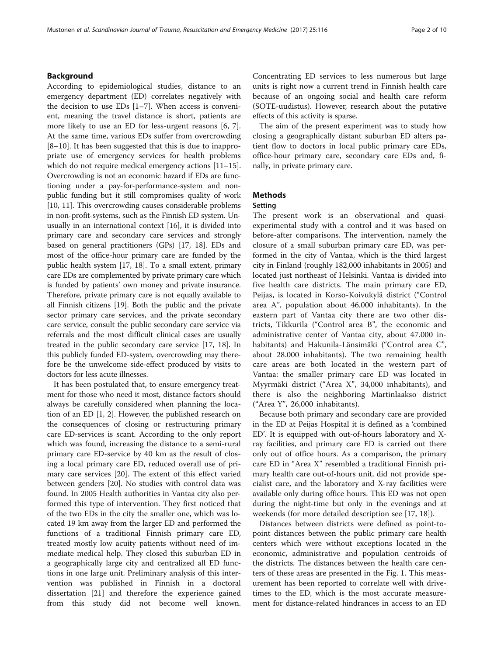# Background

According to epidemiological studies, distance to an emergency department (ED) correlates negatively with the decision to use EDs  $[1-7]$ . When access is convenient, meaning the travel distance is short, patients are more likely to use an ED for less-urgent reasons [6, 7]. At the same time, various EDs suffer from overcrowding [8–10]. It has been suggested that this is due to inappropriate use of emergency services for health problems which do not require medical emergency actions [11–15]. Overcrowding is not an economic hazard if EDs are functioning under a pay-for-performance-system and nonpublic funding but it still compromises quality of work [10, 11]. This overcrowding causes considerable problems in non-profit-systems, such as the Finnish ED system. Unusually in an international context [16], it is divided into primary care and secondary care services and strongly based on general practitioners (GPs) [17, 18]. EDs and most of the office-hour primary care are funded by the public health system [17, 18]. To a small extent, primary care EDs are complemented by private primary care which is funded by patients' own money and private insurance. Therefore, private primary care is not equally available to all Finnish citizens [19]. Both the public and the private sector primary care services, and the private secondary care service, consult the public secondary care service via referrals and the most difficult clinical cases are usually treated in the public secondary care service [17, 18]. In this publicly funded ED-system, overcrowding may therefore be the unwelcome side-effect produced by visits to doctors for less acute illnesses.

It has been postulated that, to ensure emergency treatment for those who need it most, distance factors should always be carefully considered when planning the location of an ED [1, 2]. However, the published research on the consequences of closing or restructuring primary care ED-services is scant. According to the only report which was found, increasing the distance to a semi-rural primary care ED-service by 40 km as the result of closing a local primary care ED, reduced overall use of primary care services [20]. The extent of this effect varied between genders [20]. No studies with control data was found. In 2005 Health authorities in Vantaa city also performed this type of intervention. They first noticed that of the two EDs in the city the smaller one, which was located 19 km away from the larger ED and performed the functions of a traditional Finnish primary care ED, treated mostly low acuity patients without need of immediate medical help. They closed this suburban ED in a geographically large city and centralized all ED functions in one large unit. Preliminary analysis of this intervention was published in Finnish in a doctoral dissertation [21] and therefore the experience gained from this study did not become well known. Concentrating ED services to less numerous but large units is right now a current trend in Finnish health care because of an ongoing social and health care reform (SOTE-uudistus). However, research about the putative effects of this activity is sparse.

The aim of the present experiment was to study how closing a geographically distant suburban ED alters patient flow to doctors in local public primary care EDs, office-hour primary care, secondary care EDs and, finally, in private primary care.

# Methods

# Setting

The present work is an observational and quasiexperimental study with a control and it was based on before-after comparisons. The intervention, namely the closure of a small suburban primary care ED, was performed in the city of Vantaa, which is the third largest city in Finland (roughly 182,000 inhabitants in 2005) and located just northeast of Helsinki. Vantaa is divided into five health care districts. The main primary care ED, Peijas, is located in Korso-Koivukylä district ("Control area A", population about 46,000 inhabitants). In the eastern part of Vantaa city there are two other districts, Tikkurila ("Control area B", the economic and administrative center of Vantaa city, about 47.000 inhabitants) and Hakunila-Länsimäki ("Control area C", about 28.000 inhabitants). The two remaining health care areas are both located in the western part of Vantaa: the smaller primary care ED was located in Myyrmäki district ("Area X", 34,000 inhabitants), and there is also the neighboring Martinlaakso district ("Area Y", 26,000 inhabitants).

Because both primary and secondary care are provided in the ED at Peijas Hospital it is defined as a 'combined ED'. It is equipped with out-of-hours laboratory and Xray facilities, and primary care ED is carried out there only out of office hours. As a comparison, the primary care ED in "Area X" resembled a traditional Finnish primary health care out-of-hours unit, did not provide specialist care, and the laboratory and X-ray facilities were available only during office hours. This ED was not open during the night-time but only in the evenings and at weekends (for more detailed description see [17, 18]).

Distances between districts were defined as point-topoint distances between the public primary care health centers which were without exceptions located in the economic, administrative and population centroids of the districts. The distances between the health care centers of these areas are presented in the Fig. 1. This measurement has been reported to correlate well with drivetimes to the ED, which is the most accurate measurement for distance-related hindrances in access to an ED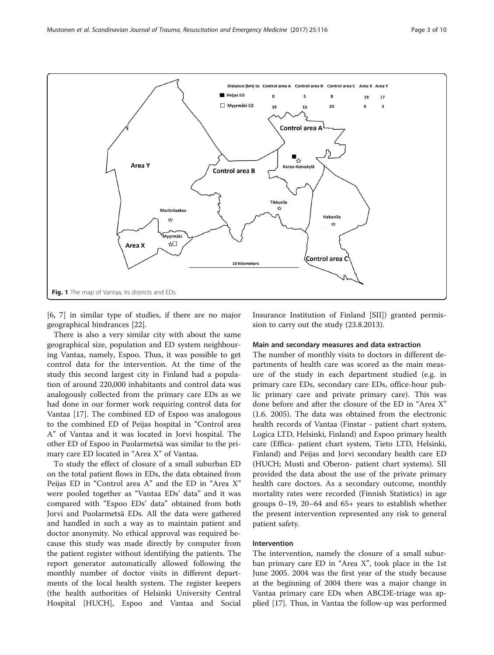

[6, 7] in similar type of studies, if there are no major geographical hindrances [22].

There is also a very similar city with about the same geographical size, population and ED system neighbouring Vantaa, namely, Espoo. Thus, it was possible to get control data for the intervention. At the time of the study this second largest city in Finland had a population of around 220,000 inhabitants and control data was analogously collected from the primary care EDs as we had done in our former work requiring control data for Vantaa [17]. The combined ED of Espoo was analogous to the combined ED of Peijas hospital in "Control area A" of Vantaa and it was located in Jorvi hospital. The other ED of Espoo in Puolarmetsä was similar to the primary care ED located in "Area X" of Vantaa.

To study the effect of closure of a small suburban ED on the total patient flows in EDs, the data obtained from Peijas ED in "Control area A" and the ED in "Area X" were pooled together as "Vantaa EDs' data" and it was compared with "Espoo EDs' data" obtained from both Jorvi and Puolarmetsä EDs. All the data were gathered and handled in such a way as to maintain patient and doctor anonymity. No ethical approval was required because this study was made directly by computer from the patient register without identifying the patients. The report generator automatically allowed following the monthly number of doctor visits in different departments of the local health system. The register keepers (the health authorities of Helsinki University Central Hospital [HUCH], Espoo and Vantaa and Social Insurance Institution of Finland [SII]) granted permission to carry out the study (23.8.2013).

## Main and secondary measures and data extraction

The number of monthly visits to doctors in different departments of health care was scored as the main measure of the study in each department studied (e.g. in primary care EDs, secondary care EDs, office-hour public primary care and private primary care). This was done before and after the closure of the ED in "Area X" (1.6. 2005). The data was obtained from the electronic health records of Vantaa (Finstar - patient chart system, Logica LTD, Helsinki, Finland) and Espoo primary health care (Effica- patient chart system, Tieto LTD, Helsinki, Finland) and Peijas and Jorvi secondary health care ED (HUCH; Musti and Oberon- patient chart systems). SII provided the data about the use of the private primary health care doctors. As a secondary outcome, monthly mortality rates were recorded (Finnish Statistics) in age groups 0–19, 20–64 and 65+ years to establish whether the present intervention represented any risk to general patient safety.

## Intervention

The intervention, namely the closure of a small suburban primary care ED in "Area X", took place in the 1st June 2005. 2004 was the first year of the study because at the beginning of 2004 there was a major change in Vantaa primary care EDs when ABCDE-triage was applied [17]. Thus, in Vantaa the follow-up was performed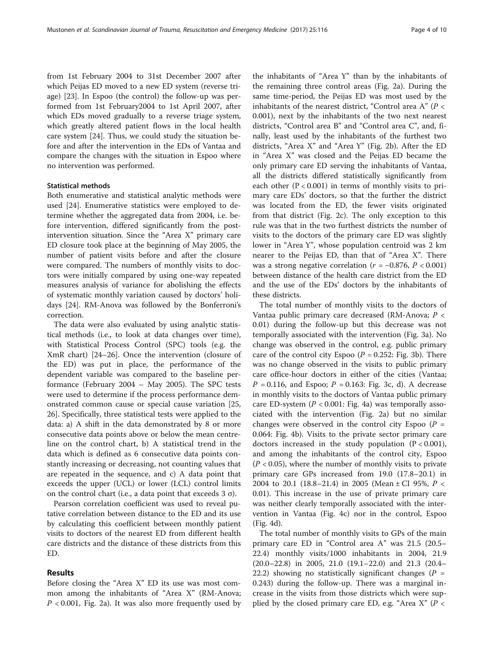from 1st February 2004 to 31st December 2007 after which Peijas ED moved to a new ED system (reverse triage) [23]. In Espoo (the control) the follow-up was performed from 1st February2004 to 1st April 2007, after which EDs moved gradually to a reverse triage system, which greatly altered patient flows in the local health care system [24]. Thus, we could study the situation before and after the intervention in the EDs of Vantaa and compare the changes with the situation in Espoo where no intervention was performed.

# Statistical methods

Both enumerative and statistical analytic methods were used [24]. Enumerative statistics were employed to determine whether the aggregated data from 2004, i.e. before intervention, differed significantly from the postintervention situation. Since the "Area X" primary care ED closure took place at the beginning of May 2005, the number of patient visits before and after the closure were compared. The numbers of monthly visits to doctors were initially compared by using one-way repeated measures analysis of variance for abolishing the effects of systematic monthly variation caused by doctors' holidays [24]. RM-Anova was followed by the Bonferroni's correction.

The data were also evaluated by using analytic statistical methods (i.e., to look at data changes over time), with Statistical Process Control (SPC) tools (e.g. the XmR chart) [24–26]. Once the intervention (closure of the ED) was put in place, the performance of the dependent variable was compared to the baseline performance (February 2004 – May 2005). The SPC tests were used to determine if the process performance demonstrated common cause or special cause variation [25, 26]. Specifically, three statistical tests were applied to the data: a) A shift in the data demonstrated by 8 or more consecutive data points above or below the mean centreline on the control chart, b) A statistical trend in the data which is defined as 6 consecutive data points constantly increasing or decreasing, not counting values that are repeated in the sequence, and c) A data point that exceeds the upper (UCL) or lower (LCL) control limits on the control chart (i.e., a data point that exceeds 3 σ).

Pearson correlation coefficient was used to reveal putative correlation between distance to the ED and its use by calculating this coefficient between monthly patient visits to doctors of the nearest ED from different health care districts and the distance of these districts from this ED.

# Results

Before closing the "Area X" ED its use was most common among the inhabitants of "Area X" (RM-Anova;  $P < 0.001$ , Fig. 2a). It was also more frequently used by

the inhabitants of "Area Y" than by the inhabitants of the remaining three control areas (Fig. 2a). During the same time-period, the Peijas ED was most used by the inhabitants of the nearest district, "Control area  $A$ " ( $P \lt \theta$ 0.001), next by the inhabitants of the two next nearest districts, "Control area B" and "Control area C", and, finally, least used by the inhabitants of the furthest two districts, "Area X" and "Area Y" (Fig. 2b). After the ED in "Area X" was closed and the Peijas ED became the only primary care ED serving the inhabitants of Vantaa, all the districts differed statistically significantly from each other  $(P < 0.001)$  in terms of monthly visits to primary care EDs' doctors, so that the further the district was located from the ED, the fewer visits originated from that district (Fig. 2c). The only exception to this rule was that in the two furthest districts the number of visits to the doctors of the primary care ED was slightly lower in "Area Y", whose population centroid was 2 km nearer to the Peijas ED, than that of "Area X". There was a strong negative correlation ( $r = -0.876$ ,  $P < 0.001$ ) between distance of the health care district from the ED and the use of the EDs' doctors by the inhabitants of these districts.

The total number of monthly visits to the doctors of Vantaa public primary care decreased (RM-Anova; P < 0.01) during the follow-up but this decrease was not temporally associated with the intervention (Fig. 3a). No change was observed in the control, e.g. public primary care of the control city Espoo  $(P = 0.252$ : Fig. 3b). There was no change observed in the visits to public primary care office-hour doctors in either of the cities (Vantaa;  $P = 0.116$ , and Espoo;  $P = 0.163$ : Fig. 3c, d). A decrease in monthly visits to the doctors of Vantaa public primary care ED-system  $(P < 0.001$ : Fig. 4a) was temporally associated with the intervention (Fig. 2a) but no similar changes were observed in the control city Espoo  $(P =$ 0.064: Fig. 4b). Visits to the private sector primary care doctors increased in the study population  $(P < 0.001)$ , and among the inhabitants of the control city, Espoo  $(P < 0.05)$ , where the number of monthly visits to private primary care GPs increased from 19.0 (17.8–20.1) in 2004 to 20.1 (18.8–21.4) in 2005 (Mean  $\pm$  CI 95%,  $P \lt \sqrt{ }$ 0.01). This increase in the use of private primary care was neither clearly temporally associated with the intervention in Vantaa (Fig. 4c) nor in the control, Espoo (Fig. 4d).

The total number of monthly visits to GPs of the main primary care ED in "Control area A" was 21.5 (20.5– 22.4) monthly visits/1000 inhabitants in 2004, 21.9 (20.0–22.8) in 2005, 21.0 (19.1–22.0) and 21.3 (20.4– 22.2) showing no statistically significant changes ( $P =$ 0.243) during the follow-up. There was a marginal increase in the visits from those districts which were supplied by the closed primary care ED, e.g. "Area  $X''$  ( $P <$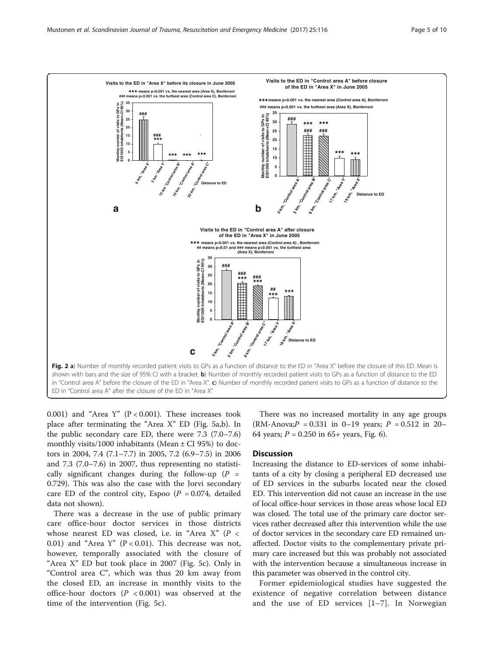

0.001) and "Area Y"  $(P < 0.001)$ . These increases took place after terminating the "Area X" ED (Fig. 5a,b). In the public secondary care ED, there were 7.3 (7.0–7.6) monthly visits/1000 inhabitants (Mean  $\pm$  CI 95%) to doctors in 2004, 7.4 (7.1–7.7) in 2005, 7.2 (6.9–7.5) in 2006 and 7.3 (7.0–7.6) in 2007, thus representing no statistically significant changes during the follow-up  $(P =$ 0.729). This was also the case with the Jorvi secondary care ED of the control city, Espoo  $(P = 0.074,$  detailed data not shown).

There was a decrease in the use of public primary care office-hour doctor services in those districts whose nearest ED was closed, i.e. in "Area X" (P < 0.01) and "Area Y" ( $P < 0.01$ ). This decrease was not, however, temporally associated with the closure of "Area X" ED but took place in 2007 (Fig. 5c). Only in "Control area C", which was thus 20 km away from the closed ED, an increase in monthly visits to the office-hour doctors  $(P < 0.001)$  was observed at the time of the intervention (Fig. 5c).

There was no increased mortality in any age groups  $(RM-Anova; P = 0.331$  in 0-19 years;  $P = 0.512$  in 20-64 years;  $P = 0.250$  in 65+ years, Fig. 6).

## **Discussion**

Increasing the distance to ED-services of some inhabitants of a city by closing a peripheral ED decreased use of ED services in the suburbs located near the closed ED. This intervention did not cause an increase in the use of local office-hour services in those areas whose local ED was closed. The total use of the primary care doctor services rather decreased after this intervention while the use of doctor services in the secondary care ED remained unaffected. Doctor visits to the complementary private primary care increased but this was probably not associated with the intervention because a simultaneous increase in this parameter was observed in the control city.

Former epidemiological studies have suggested the existence of negative correlation between distance and the use of ED services [1–7]. In Norwegian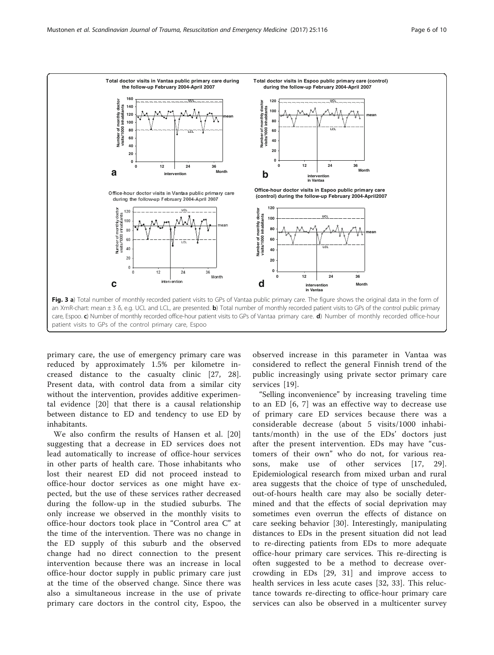



primary care, the use of emergency primary care was reduced by approximately 1.5% per kilometre increased distance to the casualty clinic [27, 28]. Present data, with control data from a similar city without the intervention, provides additive experimental evidence [20] that there is a causal relationship between distance to ED and tendency to use ED by inhabitants.

We also confirm the results of Hansen et al. [20] suggesting that a decrease in ED services does not lead automatically to increase of office-hour services in other parts of health care. Those inhabitants who lost their nearest ED did not proceed instead to office-hour doctor services as one might have expected, but the use of these services rather decreased during the follow-up in the studied suburbs. The only increase we observed in the monthly visits to office-hour doctors took place in "Control area C" at the time of the intervention. There was no change in the ED supply of this suburb and the observed change had no direct connection to the present intervention because there was an increase in local office-hour doctor supply in public primary care just at the time of the observed change. Since there was also a simultaneous increase in the use of private primary care doctors in the control city, Espoo, the

observed increase in this parameter in Vantaa was considered to reflect the general Finnish trend of the public increasingly using private sector primary care services [19].

"Selling inconvenience" by increasing traveling time to an ED [6, 7] was an effective way to decrease use of primary care ED services because there was a considerable decrease (about 5 visits/1000 inhabitants/month) in the use of the EDs' doctors just after the present intervention. EDs may have "customers of their own" who do not, for various reasons, make use of other services [17, 29]. Epidemiological research from mixed urban and rural area suggests that the choice of type of unscheduled, out-of-hours health care may also be socially determined and that the effects of social deprivation may sometimes even overrun the effects of distance on care seeking behavior [30]. Interestingly, manipulating distances to EDs in the present situation did not lead to re-directing patients from EDs to more adequate office-hour primary care services. This re-directing is often suggested to be a method to decrease overcrowding in EDs [29, 31] and improve access to health services in less acute cases [32, 33]. This reluctance towards re-directing to office-hour primary care services can also be observed in a multicenter survey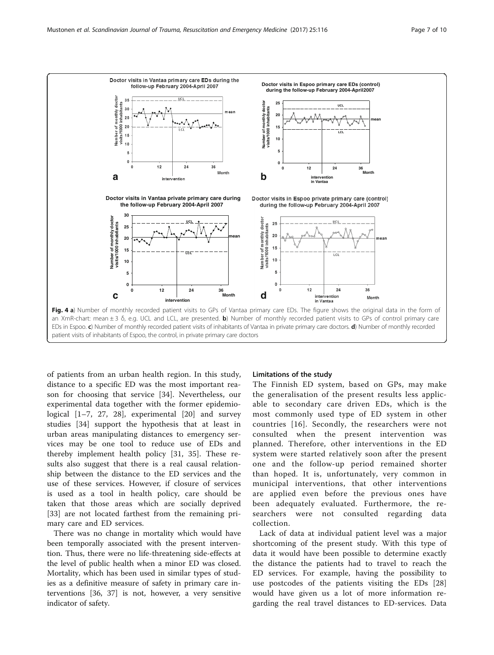

of patients from an urban health region. In this study, distance to a specific ED was the most important reason for choosing that service [34]. Nevertheless, our experimental data together with the former epidemiological [1–7, 27, 28], experimental [20] and survey studies [34] support the hypothesis that at least in urban areas manipulating distances to emergency services may be one tool to reduce use of EDs and thereby implement health policy [31, 35]. These results also suggest that there is a real causal relationship between the distance to the ED services and the use of these services. However, if closure of services is used as a tool in health policy, care should be taken that those areas which are socially deprived [33] are not located farthest from the remaining primary care and ED services.

There was no change in mortality which would have been temporally associated with the present intervention. Thus, there were no life-threatening side-effects at the level of public health when a minor ED was closed. Mortality, which has been used in similar types of studies as a definitive measure of safety in primary care interventions [36, 37] is not, however, a very sensitive indicator of safety.

## Limitations of the study

The Finnish ED system, based on GPs, may make the generalisation of the present results less applicable to secondary care driven EDs, which is the most commonly used type of ED system in other countries [16]. Secondly, the researchers were not consulted when the present intervention was planned. Therefore, other interventions in the ED system were started relatively soon after the present one and the follow-up period remained shorter than hoped. It is, unfortunately, very common in municipal interventions, that other interventions are applied even before the previous ones have been adequately evaluated. Furthermore, the researchers were not consulted regarding data collection.

Lack of data at individual patient level was a major shortcoming of the present study. With this type of data it would have been possible to determine exactly the distance the patients had to travel to reach the ED services. For example, having the possibility to use postcodes of the patients visiting the EDs [28] would have given us a lot of more information regarding the real travel distances to ED-services. Data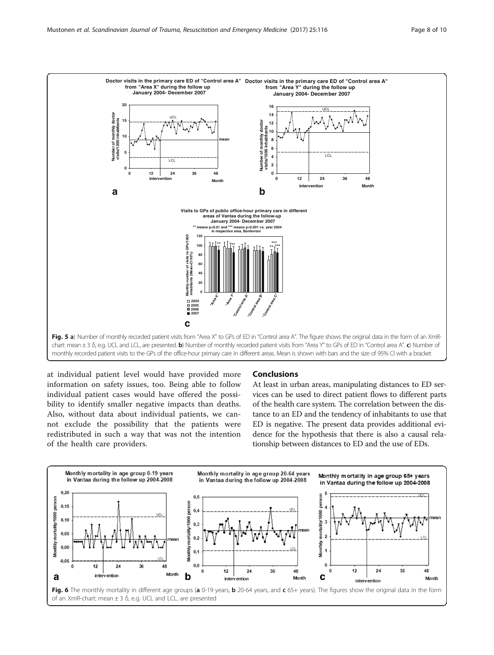

at individual patient level would have provided more information on safety issues, too. Being able to follow individual patient cases would have offered the possibility to identify smaller negative impacts than deaths. Also, without data about individual patients, we cannot exclude the possibility that the patients were redistributed in such a way that was not the intention of the health care providers.

# Conclusions

At least in urban areas, manipulating distances to ED services can be used to direct patient flows to different parts of the health care system. The correlation between the distance to an ED and the tendency of inhabitants to use that ED is negative. The present data provides additional evidence for the hypothesis that there is also a causal relationship between distances to ED and the use of EDs.

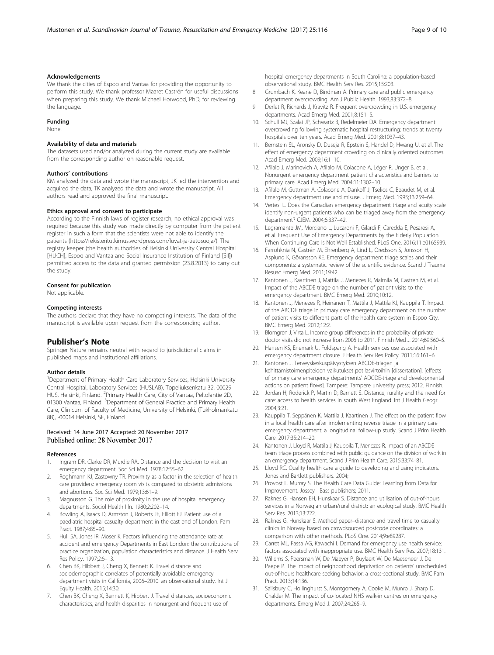## Acknowledgements

We thank the cities of Espoo and Vantaa for providing the opportunity to perform this study. We thank professor Maaret Castrén for useful discussions when preparing this study. We thank Michael Horwood, PhD, for reviewing the language.

#### Funding

None.

## Availability of data and materials

The datasets used and/or analyzed during the current study are available from the corresponding author on reasonable request.

#### Authors' contributions

KM analyzed the data and wrote the manuscript, JK led the intervention and acquired the data, TK analyzed the data and wrote the manuscript. All authors read and approved the final manuscript.

#### Ethics approval and consent to participate

According to the Finnish laws of register research, no ethical approval was required because this study was made directly by computer from the patient register in such a form that the scientists were not able to identify the patients ([https://rekisteritutkimus.wordpress.com/luvat-ja-tietosuoja/](https://rekisteritutkimus.wordpress.com/luvat-ja-tietosuoja)). The registry keeper (the health authorities of Helsinki University Central Hospital [HUCH], Espoo and Vantaa and Social Insurance Institution of Finland [SII]) permitted access to the data and granted permission (23.8.2013) to carry out the study.

#### Consent for publication

Not applicable.

### Competing interests

The authors declare that they have no competing interests. The data of the manuscript is available upon request from the corresponding author.

## Publisher's Note

Springer Nature remains neutral with regard to jurisdictional claims in published maps and institutional affiliations.

#### Author details

<sup>1</sup>Department of Primary Health Care Laboratory Services, Helsinki University Central Hospital, Laboratory Services (HUSLAB), Topeliuksenkatu 32, 00029 HUS, Helsinki, Finland. <sup>2</sup>Primary Health Care, City of Vantaa, Peltolantie 2D, 01300 Vantaa, Finland. <sup>3</sup>Department of General Practice and Primary Health Care, Clinicum of Faculty of Medicine, University of Helsinki, (Tukholmankatu 8B), -00014 Helsinki, SF, Finland.

## Received: 14 June 2017 Accepted: 20 November 2017 Published online: 28 November 2017

#### References

- 1. Ingram DR, Clarke DR, Murdie RA. Distance and the decision to visit an emergency department. Soc Sci Med. 1978;12:55–62.
- 2. Roghmann KJ, Zastowny TR. Proximity as a factor in the selection of health care providers: emergency room visits compared to obstetric admissions and abortions. Soc Sci Med. 1979;13:61–9.
- 3. Magnusson G. The role of proximity in the use of hospital emergency departments. Sociol Health Illn. 1980;2:202–14.
- 4. Bowling A, Isaacs D, Armston J, Roberts JE, Elliott EJ. Patient use of a paediatric hospital casualty department in the east end of London. Fam Pract. 1987;4:85–90.
- 5. Hull SA, Jones IR, Moser K. Factors influencing the attendance rate at accident and emergency Departments in East London: the contributions of practice organization, population characteristics and distance. J Health Serv Res Policy. 1997;2:6–13.
- 6. Chen BK, Hibbert J, Cheng X, Bennett K. Travel distance and sociodemographic correlates of potentially avoidable emergency department visits in California, 2006–2010: an observational study. Int J Equity Health. 2015;14:30.
- 7. Chen BK, Cheng X, Bennett K, Hibbert J. Travel distances, socioeconomic characteristics, and health disparities in nonurgent and frequent use of

hospital emergency departments in South Carolina: a population-based observational study. BMC Health Serv Res. 2015;15:203.

- 8. Grumbach K, Keane D, Bindman A. Primary care and public emergency department overcrowding. Am J Public Health. 1993;83:372–8.
- 9. Derlet R, Richards J, Kravitz R. Frequent overcrowding in U.S. emergency departments. Acad Emerg Med. 2001;8:151–5.
- 10. Schull MJ, Szalai JP, Schwartz B, Redelmeier DA. Emergency department overcrowding following systematic hospital restructuring: trends at twenty hospitals over ten years. Acad Emerg Med. 2001;8:1037–43.
- 11. Bernstein SL, Aronsky D, Duseja R, Epstein S, Handel D, Hwang U, et al. The effect of emergency department crowding on clinically oriented outcomes. Acad Emerg Med. 2009;16:1–10.
- 12. Afilalo J, Marinovich A, Afilalo M, Colacone A, Léger R, Unger B, et al. Nonurgent emergency department patient characteristics and barriers to primary care. Acad Emerg Med. 2004;11:1302–10.
- 13. Afilalo M, Guttman A, Colacone A, Dankoff J, Tselios C, Beaudet M, et al. Emergency department use and misuse. J Emerg Med. 1995;13:259–64.
- 14. Vertesi L. Does the Canadian emergency department triage and acuity scale identify non-urgent patients who can be triaged away from the emergency department? CJEM. 2004;6:337–42.
- 15. Legramante JM, Morciano L, Lucaroni F, Gilardi F, Caredda E, Pesaresi A, et al. Frequent Use of Emergency Departments by the Elderly Population When Continuing Care Is Not Well Established. PLoS One. 2016;11:e0165939.
- 16. Farrohknia N, Castrén M, Ehrenberg A, Lind L, Oredsson S, Jonsson H, Asplund K, Göransson KE. Emergency department triage scales and their components: a systematic review of the scientific evidence. Scand J Trauma Resusc Emerg Med. 2011;19:42.
- 17. Kantonen J, Kaartinen J, Mattila J, Menezes R, Malmila M, Castren M, et al. Impact of the ABCDE triage on the number of patient visits to the emergency department. BMC Emerg Med. 2010;10:12.
- 18. Kantonen J, Menezes R, Heinänen T, Mattila J, Mattila KJ, Kauppila T. Impact of the ABCDE triage in primary care emergency department on the number of patient visits to different parts of the health care system in Espoo City. BMC Emerg Med. 2012;12:2.
- 19. Blomgren J, Virta L. Income group differences in the probability of private doctor visits did not increase from 2006 to 2011. Finnish Med J. 2014;69:560–5.
- 20. Hansen KS, Enemark U, Foldspang A. Health services use associated with emergency department closure. J Health Serv Res Policy. 2011;16:161–6.
- 21. Kantonen J. Terveyskeskuspäivystyksen ABCDE-triagen ja kehittämistoimenpiteiden vaikutukset potilasvirtoihin [dissertation]. [effects of primary care emergency departments' ADCDE-triage and developmental actions on patient flows]. Tampere: Tampere university press; 2012. Finnish.
- 22. Jordan H, Roderick P, Martin D, Barnett S. Distance, rurality and the need for care: access to health services in south West England. Int J Health Geogr. 2004;3:21.
- 23. Kauppila T, Seppänen K, Mattila J, Kaartinen J. The effect on the patient flow in a local health care after implementing reverse triage in a primary care emergency department: a longitudinal follow-up study. Scand J Prim Health Care. 2017;35:214–20.
- 24. Kantonen J, Lloyd R, Mattila J, Kauppila T, Menezes R. Impact of an ABCDE team triage process combined with public guidance on the division of work in an emergency department. Scand J Prim Health Care. 2015;33:74–81.
- 25. Lloyd RC. Quality health care a guide to developing and using indicators. Jones and Bartlett publishers. 2004;
- 26. Provost L. Murray S. The Health Care Data Guide: Learning from Data for Improvement. Jossey –Bass publishers; 2011.
- 27. Raknes G, Hansen EH, Hunskaar S. Distance and utilisation of out-of-hours services in a Norwegian urban/rural district: an ecological study. BMC Health Serv Res. 2013;13:222.
- 28. Raknes G, Hunskaar S. Method paper–distance and travel time to casualty clinics in Norway based on crowdsourced postcode coordinates: a comparison with other methods. PLoS One. 2014;9:e89287.
- 29. Carret ML, Fassa AG, Kawachi I. Demand for emergency use health service: factors associated with inappropriate use. BMC Health Serv Res. 2007;18:131.
- 30. Willems S, Peersman W, De Maeyer P, Buylaert W, De Maeseneer J, De Paepe P. The impact of neighborhood deprivation on patients' unscheduled out-of-hours healthcare seeking behavior: a cross-sectional study. BMC Fam Pract. 2013;14:136.
- 31. Salisbury C, Hollinghurst S, Montgomery A, Cooke M, Munro J, Sharp D, Chalder M. The impact of co-located NHS walk-in centres on emergency departments. Emerg Med J. 2007;24:265–9.